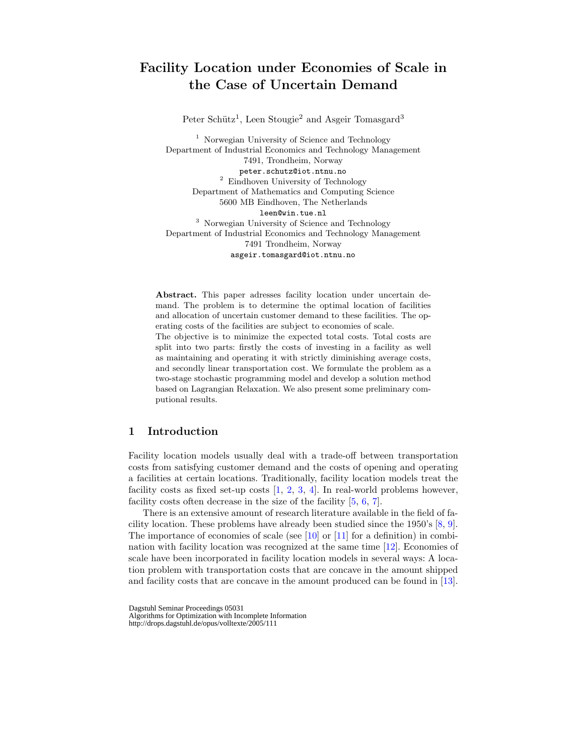# Facility Location under Economies of Scale in the Case of Uncertain Demand

Peter Schütz<sup>1</sup>, Leen Stougie<sup>2</sup> and Asgeir Tomasgard<sup>3</sup>

<sup>1</sup> Norwegian University of Science and Technology Department of Industrial Economics and Technology Management 7491, Trondheim, Norway peter.schutz@iot.ntnu.no <sup>2</sup> Eindhoven University of Technology Department of Mathematics and Computing Science 5600 MB Eindhoven, The Netherlands leen@win.tue.nl <sup>3</sup> Norwegian University of Science and Technology Department of Industrial Economics and Technology Management 7491 Trondheim, Norway asgeir.tomasgard@iot.ntnu.no

Abstract. This paper adresses facility location under uncertain demand. The problem is to determine the optimal location of facilities and allocation of uncertain customer demand to these facilities. The operating costs of the facilities are subject to economies of scale.

The objective is to minimize the expected total costs. Total costs are split into two parts: firstly the costs of investing in a facility as well as maintaining and operating it with strictly diminishing average costs, and secondly linear transportation cost. We formulate the problem as a two-stage stochastic programming model and develop a solution method based on Lagrangian Relaxation. We also present some preliminary computional results.

## 1 Introduction

Facility location models usually deal with a trade-off between transportation costs from satisfying customer demand and the costs of opening and operating a facilities at certain locations. Traditionally, facility location models treat the facility costs as fixed set-up costs  $[1, 2, 3, 4]$ . In real-world problems however, facility costs often decrease in the size of the facility [5, 6, 7].

There is an extensive amount of research literature available in the field of facility location. These problems have already been studied since the 1950's [8, 9]. The importance of economies of scale (see  $[10]$  or  $[11]$  for a definition) in combination with facility location was recognized at the same time [12]. Economies of scale have been incorporated in facility location models in several ways: A location problem with transportation costs that are concave in the amount shipped and facility costs that are concave in the amount produced can be found in [13].

Dagstuhl Seminar Proceedings 05031 Algorithms for Optimization with Incomplete Information http://drops.dagstuhl.de/opus/volltexte/2005/111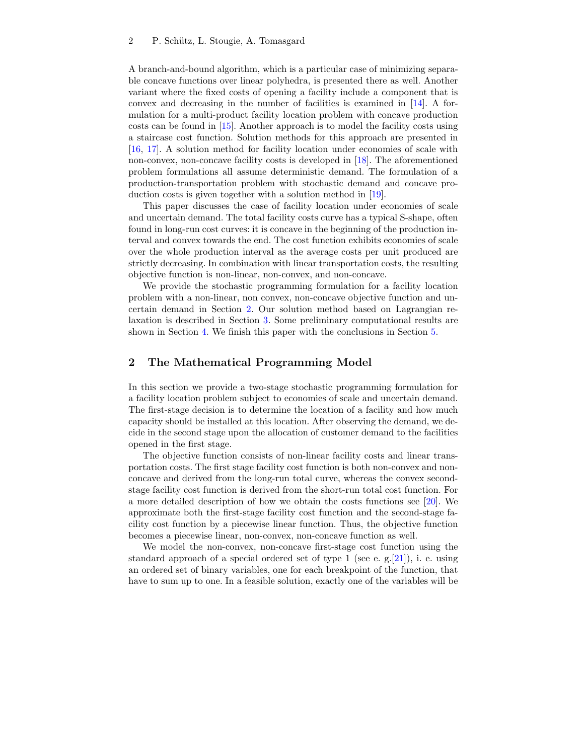A branch-and-bound algorithm, which is a particular case of minimizing separable concave functions over linear polyhedra, is presented there as well. Another variant where the fixed costs of opening a facility include a component that is convex and decreasing in the number of facilities is examined in [14]. A formulation for a multi-product facility location problem with concave production costs can be found in [15]. Another approach is to model the facility costs using a staircase cost function. Solution methods for this approach are presented in [16, 17]. A solution method for facility location under economies of scale with non-convex, non-concave facility costs is developed in [18]. The aforementioned problem formulations all assume deterministic demand. The formulation of a production-transportation problem with stochastic demand and concave production costs is given together with a solution method in [19].

This paper discusses the case of facility location under economies of scale and uncertain demand. The total facility costs curve has a typical S-shape, often found in long-run cost curves: it is concave in the beginning of the production interval and convex towards the end. The cost function exhibits economies of scale over the whole production interval as the average costs per unit produced are strictly decreasing. In combination with linear transportation costs, the resulting objective function is non-linear, non-convex, and non-concave.

We provide the stochastic programming formulation for a facility location problem with a non-linear, non convex, non-concave objective function and uncertain demand in Section 2. Our solution method based on Lagrangian relaxation is described in Section 3. Some preliminary computational results are shown in Section 4. We finish this paper with the conclusions in Section 5.

# 2 The Mathematical Programming Model

In this section we provide a two-stage stochastic programming formulation for a facility location problem subject to economies of scale and uncertain demand. The first-stage decision is to determine the location of a facility and how much capacity should be installed at this location. After observing the demand, we decide in the second stage upon the allocation of customer demand to the facilities opened in the first stage.

The objective function consists of non-linear facility costs and linear transportation costs. The first stage facility cost function is both non-convex and nonconcave and derived from the long-run total curve, whereas the convex secondstage facility cost function is derived from the short-run total cost function. For a more detailed description of how we obtain the costs functions see [20]. We approximate both the first-stage facility cost function and the second-stage facility cost function by a piecewise linear function. Thus, the objective function becomes a piecewise linear, non-convex, non-concave function as well.

We model the non-convex, non-concave first-stage cost function using the standard approach of a special ordered set of type 1 (see e.g.  $[21]$ ), i. e. using an ordered set of binary variables, one for each breakpoint of the function, that have to sum up to one. In a feasible solution, exactly one of the variables will be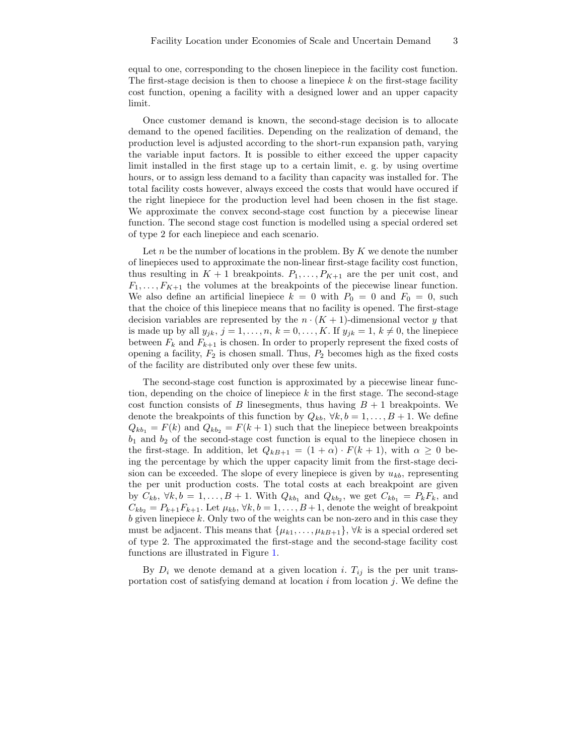equal to one, corresponding to the chosen linepiece in the facility cost function. The first-stage decision is then to choose a linepiece  $k$  on the first-stage facility cost function, opening a facility with a designed lower and an upper capacity limit.

Once customer demand is known, the second-stage decision is to allocate demand to the opened facilities. Depending on the realization of demand, the production level is adjusted according to the short-run expansion path, varying the variable input factors. It is possible to either exceed the upper capacity limit installed in the first stage up to a certain limit, e. g. by using overtime hours, or to assign less demand to a facility than capacity was installed for. The total facility costs however, always exceed the costs that would have occured if the right linepiece for the production level had been chosen in the fist stage. We approximate the convex second-stage cost function by a piecewise linear function. The second stage cost function is modelled using a special ordered set of type 2 for each linepiece and each scenario.

Let n be the number of locations in the problem. By  $K$  we denote the number of linepieces used to approximate the non-linear first-stage facility cost function, thus resulting in  $K + 1$  breakpoints.  $P_1, \ldots, P_{K+1}$  are the per unit cost, and  $F_1, \ldots, F_{K+1}$  the volumes at the breakpoints of the piecewise linear function. We also define an artificial linepiece  $k = 0$  with  $P_0 = 0$  and  $F_0 = 0$ , such that the choice of this linepiece means that no facility is opened. The first-stage decision variables are represented by the  $n \cdot (K + 1)$ -dimensional vector y that is made up by all  $y_{jk}$ ,  $j = 1, \ldots, n$ ,  $k = 0, \ldots, K$ . If  $y_{jk} = 1$ ,  $k \neq 0$ , the linepiece between  $F_k$  and  $F_{k+1}$  is chosen. In order to properly represent the fixed costs of opening a facility,  $F_2$  is chosen small. Thus,  $P_2$  becomes high as the fixed costs of the facility are distributed only over these few units.

The second-stage cost function is approximated by a piecewise linear function, depending on the choice of linepiece  $k$  in the first stage. The second-stage cost function consists of B linesegments, thus having  $B + 1$  breakpoints. We denote the breakpoints of this function by  $Q_{kb}$ ,  $\forall k, b = 1, ..., B + 1$ . We define  $Q_{kb_1} = F(k)$  and  $Q_{kb_2} = F(k+1)$  such that the linepiece between breakpoints  $b_1$  and  $b_2$  of the second-stage cost function is equal to the linepiece chosen in the first-stage. In addition, let  $Q_{kB+1} = (1 + \alpha) \cdot F(k+1)$ , with  $\alpha \geq 0$  being the percentage by which the upper capacity limit from the first-stage decision can be exceeded. The slope of every linepiece is given by  $u_{kb}$ , representing the per unit production costs. The total costs at each breakpoint are given by  $C_{kb}$ ,  $\forall k, b = 1, \ldots, B + 1$ . With  $Q_{kb_1}$  and  $Q_{kb_2}$ , we get  $C_{kb_1} = P_k F_k$ , and  $C_{kb_2} = P_{k+1}F_{k+1}$ . Let  $\mu_{kb}$ ,  $\forall k, b = 1, \ldots, B+1$ , denote the weight of breakpoint  $b$  given linepiece  $k$ . Only two of the weights can be non-zero and in this case they must be adjacent. This means that  $\{\mu_{k1}, \ldots, \mu_{kB+1}\}, \forall k$  is a special ordered set of type 2. The approximated the first-stage and the second-stage facility cost functions are illustrated in Figure 1.

By  $D_i$  we denote demand at a given location i.  $T_{ij}$  is the per unit transportation cost of satisfying demand at location  $i$  from location  $j$ . We define the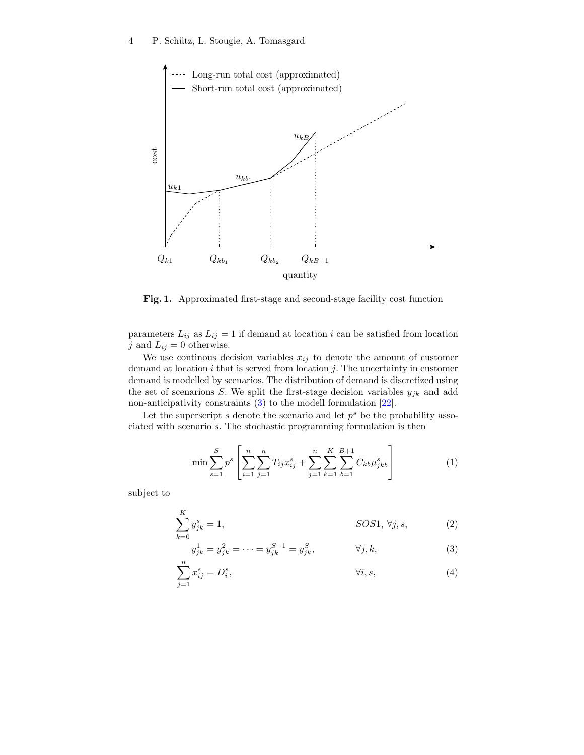

Fig. 1. Approximated first-stage and second-stage facility cost function

parameters  $L_{ij}$  as  $L_{ij} = 1$  if demand at location i can be satisfied from location j and  $L_{ij} = 0$  otherwise.

We use continous decision variables  $x_{ij}$  to denote the amount of customer demand at location  $i$  that is served from location  $j$ . The uncertainty in customer demand is modelled by scenarios. The distribution of demand is discretized using the set of scenarions S. We split the first-stage decision variables  $y_{jk}$  and add non-anticipativity constraints (3) to the modell formulation [22].

Let the superscript  $s$  denote the scenario and let  $p<sup>s</sup>$  be the probability associated with scenario s. The stochastic programming formulation is then

$$
\min \sum_{s=1}^{S} p^s \left[ \sum_{i=1}^{n} \sum_{j=1}^{n} T_{ij} x_{ij}^s + \sum_{j=1}^{n} \sum_{k=1}^{K} \sum_{b=1}^{B+1} C_{kb} \mu_{jkb}^s \right]
$$
(1)

subject to

$$
\sum_{k=0}^{K} y_{jk}^{s} = 1, \qquad SOS1, \forall j, s,
$$
 (2)

$$
y_{jk}^1 = y_{jk}^2 = \dots = y_{jk}^{S-1} = y_{jk}^S, \qquad \forall j, k,
$$
 (3)

$$
\sum_{j=1}^{n} x_{ij}^{s} = D_i^{s}, \qquad \qquad \forall i, s,
$$
\n
$$
(4)
$$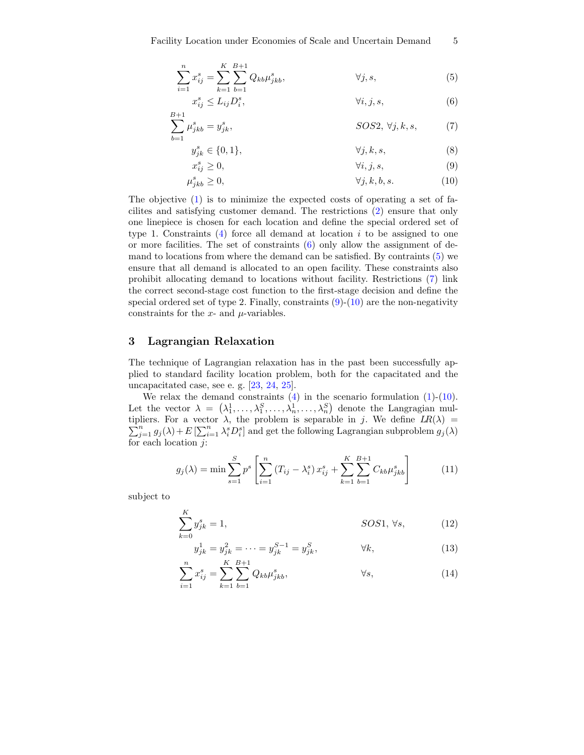$$
\sum_{i=1}^{n} x_{ij}^{s} = \sum_{k=1}^{K} \sum_{b=1}^{B+1} Q_{kb} \mu_{jkb}^{s}, \qquad \forall j, s,
$$
 (5)

$$
x_{ij}^s \le L_{ij} D_i^s, \qquad \forall i, j, s,
$$
 (6)

$$
\sum_{b=1}^{B+1} \mu_{jkb}^s = y_{jk}^s, \qquad \qquad SOS2, \ \forall j, k, s, \tag{7}
$$

$$
y_{jk}^s \in \{0, 1\}, \qquad \forall j, k, s,
$$
\n<sup>(8)</sup>

$$
x_{ij}^s \ge 0,\t\t \forall i,j,s,
$$
\t(9)

$$
\mu_{jkb}^s \ge 0, \qquad \qquad \forall j, k, b, s. \tag{10}
$$

The objective (1) is to minimize the expected costs of operating a set of facilites and satisfying customer demand. The restrictions (2) ensure that only one linepiece is chosen for each location and define the special ordered set of type 1. Constraints  $(4)$  force all demand at location i to be assigned to one or more facilities. The set of constraints  $(6)$  only allow the assignment of demand to locations from where the demand can be satisfied. By contraints (5) we ensure that all demand is allocated to an open facility. These constraints also prohibit allocating demand to locations without facility. Restrictions (7) link the correct second-stage cost function to the first-stage decision and define the special ordered set of type 2. Finally, constraints  $(9)-(10)$  are the non-negativity constraints for the  $x$ - and  $\mu$ -variables.

# 3 Lagrangian Relaxation

The technique of Lagrangian relaxation has in the past been successfully applied to standard facility location problem, both for the capacitated and the uncapacitated case, see e. g. [23, 24, 25].

We relax the demand constraints  $(4)$  in the scenario formulation  $(1)-(10)$ . Let the vector  $\lambda = (\lambda_1^1, \ldots, \lambda_1^S, \ldots, \lambda_n^1, \ldots, \lambda_n^S)$  denote the Langragian multipliers. For a vector  $\lambda$ , the problem is separable in j. We define  $LR(\lambda)$  =  $\sum_{j=1}^n g_j(\lambda) + E\left[\sum_{i=1}^n \lambda_i^s D_i^s\right]$  and get the following Lagrangian subproblem  $g_j(\lambda)$ for each location j:

$$
g_j(\lambda) = \min \sum_{s=1}^{S} p^s \left[ \sum_{i=1}^{n} \left( T_{ij} - \lambda_i^s \right) x_{ij}^s + \sum_{k=1}^{K} \sum_{b=1}^{B+1} C_{kb} \mu_{jkb}^s \right] \tag{11}
$$

subject to

$$
\sum_{k=0}^{K} y_{jk}^{s} = 1, \qquad \qquad \text{SOS1, }\forall s,\qquad \qquad (12)
$$

$$
y_{jk}^1 = y_{jk}^2 = \dots = y_{jk}^{S-1} = y_{jk}^S, \qquad \forall k,
$$
\n(13)

$$
\sum_{i=1}^{n} x_{ij}^{s} = \sum_{k=1}^{K} \sum_{b=1}^{B+1} Q_{kb} \mu_{jkb}^{s}, \qquad \forall s,
$$
 (14)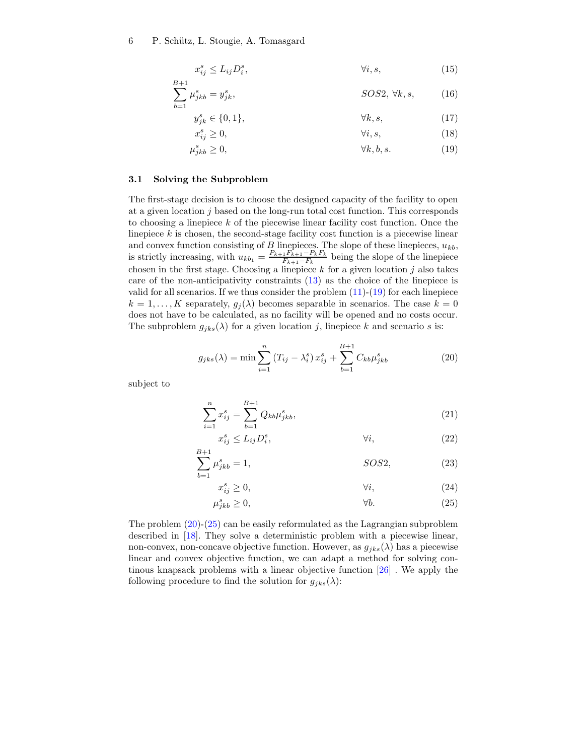6 P. Schütz, L. Stougie, A. Tomasgard

$$
x_{ij}^s \le L_{ij} D_i^s, \qquad \qquad \forall i, s, \qquad (15)
$$

$$
\sum_{b=1}^{B+1} \mu_{jkb}^s = y_{jk}^s,
$$
 *SOS2*,  $\forall k, s$ , (16)

$$
y_{jk}^s \in \{0, 1\}, \qquad \forall k, s, \tag{17}
$$

$$
x_{ij}^s \ge 0,\t\t \t\t \forall i,s,\t\t (18)
$$

$$
\mu_{jkb}^s \ge 0, \qquad \forall k, b, s. \tag{19}
$$

#### 3.1 Solving the Subproblem

The first-stage decision is to choose the designed capacity of the facility to open at a given location  $j$  based on the long-run total cost function. This corresponds to choosing a linepiece k of the piecewise linear facility cost function. Once the linepiece  $k$  is chosen, the second-stage facility cost function is a piecewise linear and convex function consisting of  $B$  linepieces. The slope of these linepieces,  $u_{kb}$ , is strictly increasing, with  $u_{kb_1} = \frac{P_{k+1}F_{k+1}-P_kF_k}{F_{k+1}-F_k}$  $\frac{1^F k+1-F_kF_k}{F_{k+1}-F_k}$  being the slope of the linepiece chosen in the first stage. Choosing a linepiece  $k$  for a given location  $j$  also takes care of the non-anticipativity constraints (13) as the choice of the linepiece is valid for all scenarios. If we thus consider the problem  $(11)-(19)$  for each linepiece  $k = 1, \ldots, K$  separately,  $g_j(\lambda)$  becomes separable in scenarios. The case  $k = 0$ does not have to be calculated, as no facility will be opened and no costs occur. The subproblem  $g_{jks}(\lambda)$  for a given location j, linepiece k and scenario s is:

$$
g_{jks}(\lambda) = \min \sum_{i=1}^{n} (T_{ij} - \lambda_i^s) x_{ij}^s + \sum_{b=1}^{B+1} C_{kb} \mu_{jkb}^s
$$
 (20)

subject to

$$
\sum_{i=1}^{n} x_{ij}^{s} = \sum_{b=1}^{B+1} Q_{kb} \mu_{jkb}^{s}, \qquad (21)
$$

$$
x_{ij}^s \le L_{ij} D_i^s, \qquad \forall i,
$$
\n
$$
(22)
$$

$$
\sum_{b=1}^{B+1} \mu_{jkb}^s = 1,
$$
 *SOS2*, (23)

$$
x_{ij}^s \ge 0,\t\t \t\t \forall i,\t(24)
$$

$$
\mu_{jkb}^s \ge 0,\qquad \qquad \forall b. \tag{25}
$$

The problem (20)-(25) can be easily reformulated as the Lagrangian subproblem described in [18]. They solve a deterministic problem with a piecewise linear, non-convex, non-concave objective function. However, as  $g_{iks}(\lambda)$  has a piecewise linear and convex objective function, we can adapt a method for solving continous knapsack problems with a linear objective function [26] . We apply the following procedure to find the solution for  $g_{jks}(\lambda)$ :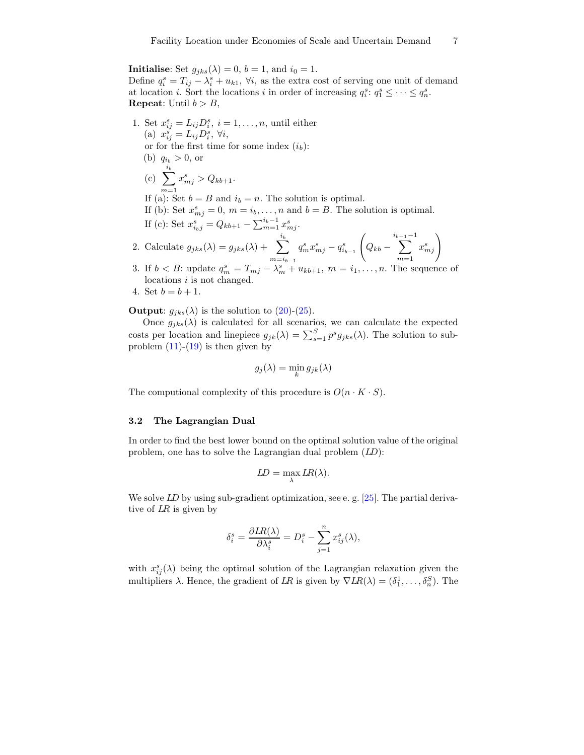**Initialise:** Set  $g_{jks}(\lambda) = 0$ ,  $b = 1$ , and  $i_0 = 1$ .

Define  $q_i^s = T_{ij} - \lambda_i^s + u_{k1}$ ,  $\forall i$ , as the extra cost of serving one unit of demand at location *i*. Sort the locations *i* in order of increasing  $q_i^s: q_1^s \leq \cdots \leq q_n^s$ . **Repeat:** Until  $b > B$ ,

- 1. Set  $x_{ij}^s = L_{ij}D_i^s$ ,  $i = 1, \ldots, n$ , until either (a)  $x_{ij}^s = L_{ij} D_i^s, \forall i,$ or for the first time for some index  $(i_b)$ : (b)  $q_{i_b} > 0$ , or  $(c) \sum$  $i_b$  $m=1$  $x_{mj}^s > Q_{kb+1}.$ If (a): Set  $b = B$  and  $i_b = n$ . The solution is optimal. If (b): Set  $x_{mj}^s = 0$ ,  $m = i_b, \ldots, n$  and  $b = B$ . The solution is optimal. If (c): Set  $x_{i_bj}^s = Q_{kb+1} - \sum_{m=1}^{i_b-1} x_{mj}^s$ . 2. Calculate  $g_{jks}(\lambda) = g_{jks}(\lambda) + \sum_{s}$  $i_b$  $m=i_{b-1}$  $q_m^s x_{mj}^s - q_{i_{b-1}}^s$  $\sqrt{2}$  $Q_{kb} \sum^{i_{b-1}-1}$  $m=1$  $x_{mj}^s$
- 3. If  $b < B$ : update  $q_m^s = T_{mj} \lambda_m^s + u_{kb+1}, m = i_1, \ldots, n$ . The sequence of locations i is not changed.
- 4. Set  $b = b + 1$ .

**Output:**  $g_{iks}(\lambda)$  is the solution to (20)-(25).

Once  $g_{jks}(\lambda)$  is calculated for all scenarios, we can calculate the expected costs per location and linepiece  $g_{jk}(\lambda) = \sum_{s=1}^{S} p^s g_{jks}(\lambda)$ . The solution to subproblem  $(11)-(19)$  is then given by

$$
g_j(\lambda) = \min_k g_{jk}(\lambda)
$$

The computional complexity of this procedure is  $O(n \cdot K \cdot S)$ .

#### 3.2 The Lagrangian Dual

In order to find the best lower bound on the optimal solution value of the original problem, one has to solve the Lagrangian dual problem  $(LD)$ :

$$
LD = \max_{\lambda} LR(\lambda).
$$

We solve LD by using sub-gradient optimization, see e.g. [25]. The partial derivative of LR is given by

$$
\delta_i^s = \frac{\partial LR(\lambda)}{\partial \lambda_i^s} = D_i^s - \sum_{j=1}^n x_{ij}^s(\lambda),
$$

with  $x_{ij}^s(\lambda)$  being the optimal solution of the Lagrangian relaxation given the multipliers  $\lambda$ . Hence, the gradient of LR is given by  $\nabla LR(\lambda) = (\delta_1^1, \ldots, \delta_n^S)$ . The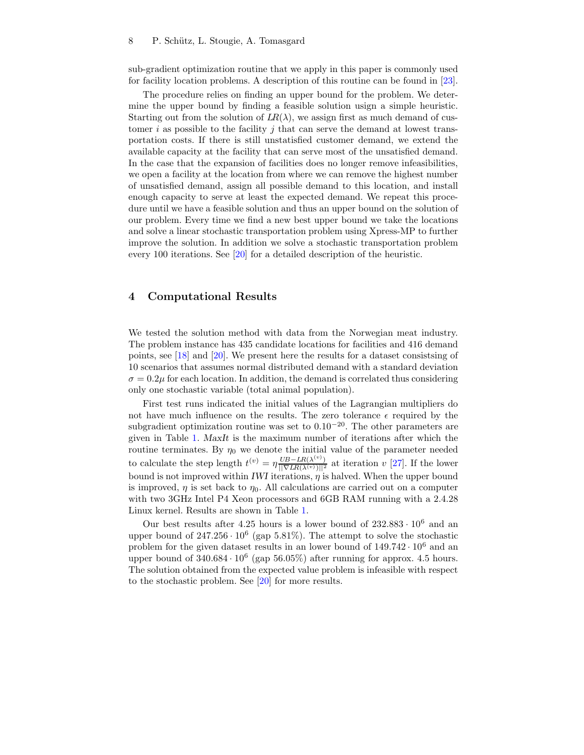sub-gradient optimization routine that we apply in this paper is commonly used for facility location problems. A description of this routine can be found in [23].

The procedure relies on finding an upper bound for the problem. We determine the upper bound by finding a feasible solution usign a simple heuristic. Starting out from the solution of  $LR(\lambda)$ , we assign first as much demand of customer i as possible to the facility j that can serve the demand at lowest transportation costs. If there is still unstatisfied customer demand, we extend the available capacity at the facility that can serve most of the unsatisfied demand. In the case that the expansion of facilities does no longer remove infeasibilities, we open a facility at the location from where we can remove the highest number of unsatisfied demand, assign all possible demand to this location, and install enough capacity to serve at least the expected demand. We repeat this procedure until we have a feasible solution and thus an upper bound on the solution of our problem. Every time we find a new best upper bound we take the locations and solve a linear stochastic transportation problem using Xpress-MP to further improve the solution. In addition we solve a stochastic transportation problem every 100 iterations. See [20] for a detailed description of the heuristic.

### 4 Computational Results

We tested the solution method with data from the Norwegian meat industry. The problem instance has 435 candidate locations for facilities and 416 demand points, see [18] and [20]. We present here the results for a dataset consistsing of 10 scenarios that assumes normal distributed demand with a standard deviation  $\sigma = 0.2\mu$  for each location. In addition, the demand is correlated thus considering only one stochastic variable (total animal population).

First test runs indicated the initial values of the Lagrangian multipliers do not have much influence on the results. The zero tolerance  $\epsilon$  required by the subgradient optimization routine was set to  $0.10^{-20}$ . The other parameters are given in Table 1. MaxIt is the maximum number of iterations after which the routine terminates. By  $\eta_0$  we denote the initial value of the parameter needed to calculate the step length  $t^{(v)} = \eta \frac{UB - LR(\lambda^{(v)})}{\vert \vert \nabla LR(\lambda^{(v)}) \vert \vert^2}$  at iteration  $v$  [27]. If the lower bound is not improved within IWI iterations,  $\eta$  is halved. When the upper bound is improved,  $\eta$  is set back to  $\eta_0$ . All calculations are carried out on a computer with two 3GHz Intel P4 Xeon processors and 6GB RAM running with a 2.4.28 Linux kernel. Results are shown in Table 1.

Our best results after 4.25 hours is a lower bound of  $232.883 \cdot 10^6$  and an upper bound of  $247.256 \cdot 10^6$  (gap 5.81%). The attempt to solve the stochastic problem for the given dataset results in an lower bound of  $149.742 \cdot 10^6$  and an upper bound of  $340.684 \cdot 10^6$  (gap  $56.05\%$ ) after running for approx. 4.5 hours. The solution obtained from the expected value problem is infeasible with respect to the stochastic problem. See [20] for more results.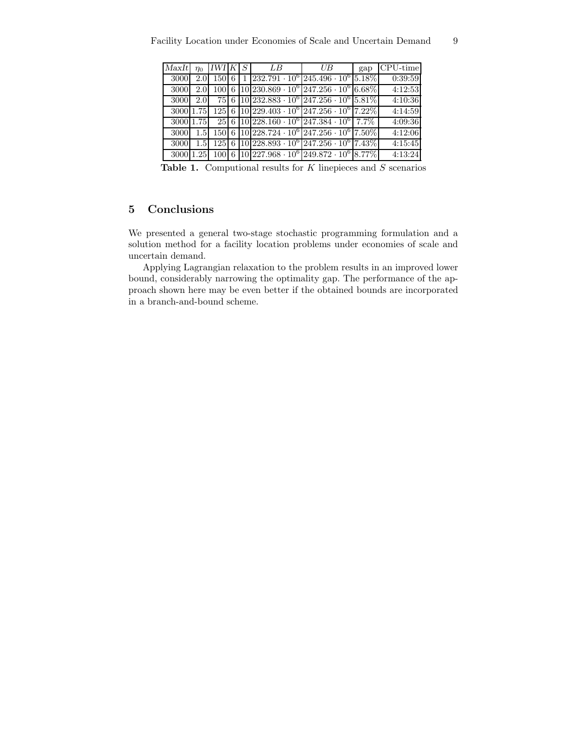| MaxIt     | $\eta_0$         | <i>IWI K</i> | $\overline{S}$ | – LB                                                                                  | UВ | gap | $CPU-time$ |
|-----------|------------------|--------------|----------------|---------------------------------------------------------------------------------------|----|-----|------------|
| 3000      | 2.0              | $150\,6$     | $\mathbf{1}$   | $232.791 \cdot 10^6 \left[ 245.496 \cdot 10^6 \right] 5.18\%$                         |    |     | 0:39:59    |
| 3000      | 2.0              |              |                | $100 \cdot 6 \cdot 10 \cdot 230.869 \cdot 10^6 \cdot 247.256 \cdot 10^6 \cdot 6.68\%$ |    |     | 4:12:53    |
| 3000      | 2.0              |              |                | 75 6 10 232.883 $\cdot 10^6$ 247.256 $\cdot 10^6$ 5.81%                               |    |     | 4:10:36    |
| 3000 1.75 |                  |              |                | 125 6 10 229.403 $\cdot$ 10 <sup>6</sup> 247.256 $\cdot$ 10 <sup>6</sup> 7.22%        |    |     | 4:14:59    |
| 3000 1.75 |                  |              |                | $25 6 10 228.160 \cdot 10^{6} 247.384 \cdot 10^{6} 7.7\%$                             |    |     | 4:09:36    |
| 3000      | 1.5              |              |                | 150 6 10 228.724 $\cdot$ 10 <sup>6</sup> 247.256 $\cdot$ 10 <sup>6</sup> 7.50%        |    |     | 4:12:06    |
| 3000      | 1.5 <sub>1</sub> |              |                | $125 \mid 6 \mid 10 \mid 228.893 \cdot 10^6 \mid 247.256 \cdot 10^6 \mid 7.43\%$      |    |     | 4:15:45    |
| 3000 1.25 |                  |              |                | $100 \mid 6 \mid 10 \mid 227.968 \cdot 10^6 \mid 249.872 \cdot 10^6 \mid 8.77\%$      |    |     | 4:13:24    |

Table 1. Computional results for  $K$  linepieces and  $S$  scenarios

# 5 Conclusions

We presented a general two-stage stochastic programming formulation and a solution method for a facility location problems under economies of scale and uncertain demand.

Applying Lagrangian relaxation to the problem results in an improved lower bound, considerably narrowing the optimality gap. The performance of the approach shown here may be even better if the obtained bounds are incorporated in a branch-and-bound scheme.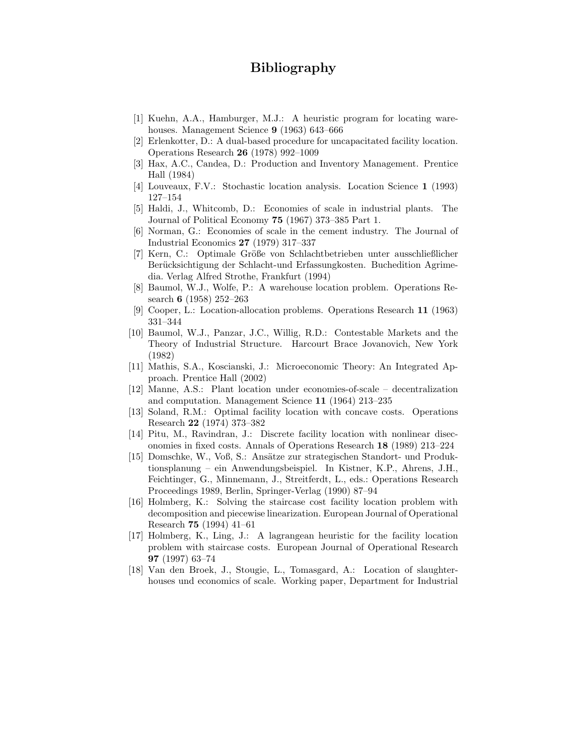# Bibliography

- [1] Kuehn, A.A., Hamburger, M.J.: A heuristic program for locating warehouses. Management Science 9 (1963) 643-666
- [2] Erlenkotter, D.: A dual-based procedure for uncapacitated facility location. Operations Research 26 (1978) 992–1009
- [3] Hax, A.C., Candea, D.: Production and Inventory Management. Prentice Hall (1984)
- [4] Louveaux, F.V.: Stochastic location analysis. Location Science 1 (1993) 127–154
- [5] Haldi, J., Whitcomb, D.: Economies of scale in industrial plants. The Journal of Political Economy 75 (1967) 373–385 Part 1.
- [6] Norman, G.: Economies of scale in the cement industry. The Journal of Industrial Economics 27 (1979) 317–337
- [7] Kern, C.: Optimale Größe von Schlachtbetrieben unter ausschließlicher Berücksichtigung der Schlacht-und Erfassungkosten. Buchedition Agrimedia. Verlag Alfred Strothe, Frankfurt (1994)
- [8] Baumol, W.J., Wolfe, P.: A warehouse location problem. Operations Research 6 (1958) 252–263
- [9] Cooper, L.: Location-allocation problems. Operations Research 11 (1963) 331–344
- [10] Baumol, W.J., Panzar, J.C., Willig, R.D.: Contestable Markets and the Theory of Industrial Structure. Harcourt Brace Jovanovich, New York (1982)
- [11] Mathis, S.A., Koscianski, J.: Microeconomic Theory: An Integrated Approach. Prentice Hall (2002)
- [12] Manne, A.S.: Plant location under economies-of-scale decentralization and computation. Management Science 11 (1964) 213–235
- [13] Soland, R.M.: Optimal facility location with concave costs. Operations Research 22 (1974) 373–382
- [14] Pitu, M., Ravindran, J.: Discrete facility location with nonlinear diseconomies in fixed costs. Annals of Operations Research 18 (1989) 213–224
- [15] Domschke, W., Voß, S.: Ans¨atze zur strategischen Standort- und Produktionsplanung – ein Anwendungsbeispiel. In Kistner, K.P., Ahrens, J.H., Feichtinger, G., Minnemann, J., Streitferdt, L., eds.: Operations Research Proceedings 1989, Berlin, Springer-Verlag (1990) 87–94
- [16] Holmberg, K.: Solving the staircase cost facility location problem with decomposition and piecewise linearization. European Journal of Operational Research 75 (1994) 41–61
- [17] Holmberg, K., Ling, J.: A lagrangean heuristic for the facility location problem with staircase costs. European Journal of Operational Research 97 (1997) 63–74
- [18] Van den Broek, J., Stougie, L., Tomasgard, A.: Location of slaughterhouses und economics of scale. Working paper, Department for Industrial